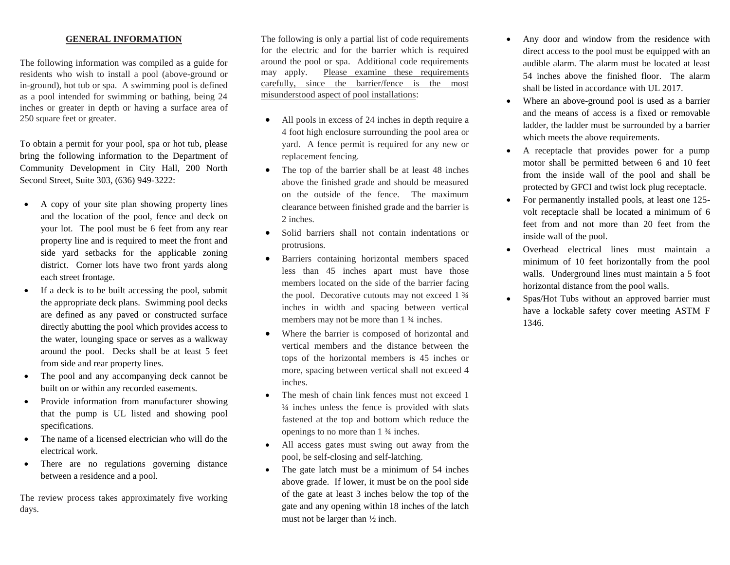## **GENERAL INFORMATION**

The following information was compiled as a guide for residents who wish to install a pool (above-ground or in-ground), hot tub or spa. A swimming pool is defined as a pool intended for swimming or bathing, being 24 inches or greater in depth or having a surface area of 250 square feet or greater.

To obtain a permit for your pool, spa or hot tub, please bring the following information to the Department of Community Development in City Hall, 200 North Second Street, Suite 303, (636) 949-3222:

- A copy of your site plan showing property lines and the location of the pool, fence and deck on your lot. The pool must be 6 feet from any rear property line and is required to meet the front and side yard setbacks for the applicable zoning district. Corner lots have two front yards along each street frontage.
- If a deck is to be built accessing the pool, submit the appropriate deck plans. Swimming pool decks are defined as any paved or constructed surface directly abutting the pool which provides access to the water, lounging space or serves as a walkway around the pool. Decks shall be at least 5 feet from side and rear property lines.
- The pool and any accompanying deck cannot be built on or within any recorded easements.
- Provide information from manufacturer showing that the pump is UL listed and showing pool specifications.
- The name of a licensed electrician who will do the electrical work.
- There are no regulations governing distance between a residence and a pool.

The review process takes approximately five working days.

The following is only a partial list of code requirements for the electric and for the barrier which is required around the pool or spa. Additional code requirements may apply. Please examine these requirements carefully, since the barrier/fence is the most misunderstood aspect of pool installations:

- All pools in excess of 24 inches in depth require a 4 foot high enclosure surrounding the pool area or yard. A fence permit is required for any new or replacement fencing.
- The top of the barrier shall be at least 48 inches above the finished grade and should be measured on the outside of the fence. The maximum clearance between finished grade and the barrier is 2 inches.
- Solid barriers shall not contain indentations or protrusions.
- Barriers containing horizontal members spaced less than 45 inches apart must have those members located on the side of the barrier facing the pool. Decorative cutouts may not exceed 1  $\frac{3}{4}$ inches in width and spacing between vertical members may not be more than 1  $\frac{3}{4}$  inches.
- Where the barrier is composed of horizontal and vertical members and the distance between the tops of the horizontal members is 45 inches or more, spacing between vertical shall not exceed 4 inches.
- The mesh of chain link fences must not exceed 1 ¼ inches unless the fence is provided with slats fastened at the top and bottom which reduce the openings to no more than 1 ¾ inches.
- All access gates must swing out away from the pool, be self-closing and self-latching.
- The gate latch must be a minimum of 54 inches above grade. If lower, it must be on the pool side of the gate at least 3 inches below the top of the gate and any opening within 18 inches of the latch must not be larger than ½ inch.
- Any door and window from the residence with direct access to the pool must be equipped with an audible alarm. The alarm must be located at least 54 inches above the finished floor. The alarm shall be listed in accordance with UL 2017.
- Where an above-ground pool is used as a barrier and the means of access is a fixed or removable ladder, the ladder must be surrounded by a barrier which meets the above requirements.
- A receptacle that provides power for a pump motor shall be permitted between 6 and 10 feet from the inside wall of the pool and shall be protected by GFCI and twist lock plug receptacle.
- For permanently installed pools, at least one 125volt receptacle shall be located a minimum of 6 feet from and not more than 20 feet from the inside wall of the pool.
- Overhead electrical lines must maintain a minimum of 10 feet horizontally from the pool walls. Underground lines must maintain a 5 foot horizontal distance from the pool walls.
- Spas/Hot Tubs without an approved barrier must have a lockable safety cover meeting ASTM F 1346.